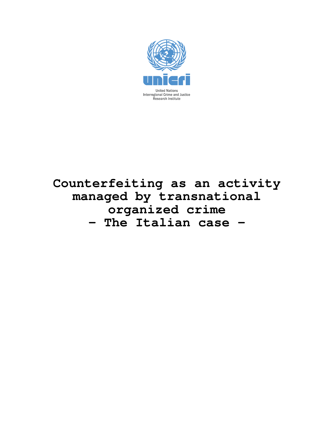

## **Counterfeiting as an activity managed by transnational organized crime – The Italian case –**